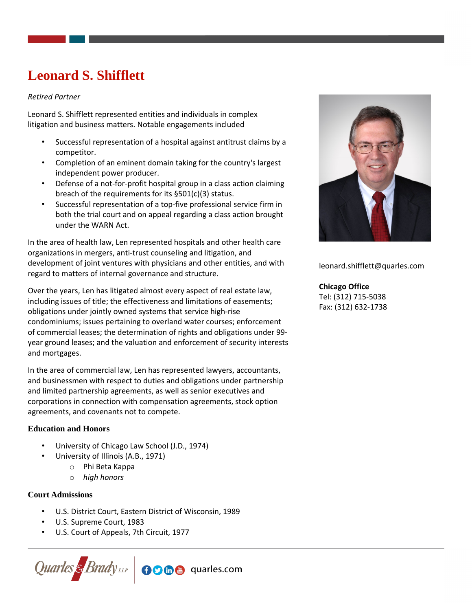# **Leonard S. Shifflett**

#### *Retired Partner*

Leonard S. Shifflett represented entities and individuals in complex litigation and business matters. Notable engagements included

- Successful representation of a hospital against antitrust claims by a competitor.
- Completion of an eminent domain taking for the country's largest independent power producer.
- Defense of a not-for-profit hospital group in a class action claiming breach of the requirements for its §501(c)(3) status.
- Successful representation of a top-five professional service firm in both the trial court and on appeal regarding a class action brought under the WARN Act.

In the area of health law, Len represented hospitals and other health care organizations in mergers, anti-trust counseling and litigation, and development of joint ventures with physicians and other entities, and with regard to matters of internal governance and structure.

Over the years, Len has litigated almost every aspect of real estate law, including issues of title; the effectiveness and limitations of easements; obligations under jointly owned systems that service high-rise condominiums; issues pertaining to overland water courses; enforcement of commercial leases; the determination of rights and obligations under 99 year ground leases; and the valuation and enforcement of security interests and mortgages.

In the area of commercial law, Len has represented lawyers, accountants, and businessmen with respect to duties and obligations under partnership and limited partnership agreements, as well as senior executives and corporations in connection with compensation agreements, stock option agreements, and covenants not to compete.

## **Education and Honors**

- University of Chicago Law School (J.D., 1974)
	- University of Illinois (A.B., 1971)
		- o Phi Beta Kappa
		- o *high honors*

## **Court Admissions**

- U.S. District Court, Eastern District of Wisconsin, 1989
- U.S. Supreme Court, 1983
- U.S. Court of Appeals, 7th Circuit, 1977





leonard.shifflett@quarles.com

#### **Chicago Office**

Tel: (312) 715-5038 Fax: (312) 632-1738